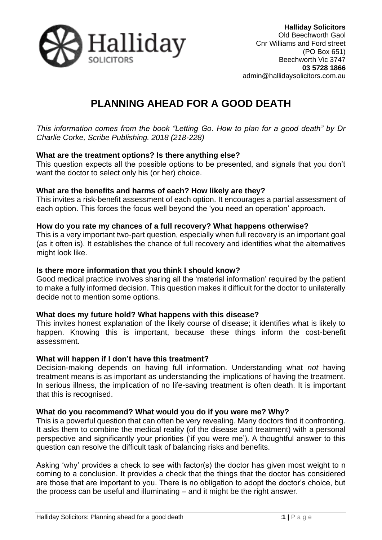

# **PLANNING AHEAD FOR A GOOD DEATH**

*This information comes from the book "Letting Go. How to plan for a good death" by Dr Charlie Corke, Scribe Publishing. 2018 (218-228)*

## **What are the treatment options? Is there anything else?**

This question expects all the possible options to be presented, and signals that you don't want the doctor to select only his (or her) choice.

## **What are the benefits and harms of each? How likely are they?**

This invites a risk-benefit assessment of each option. It encourages a partial assessment of each option. This forces the focus well beyond the 'you need an operation' approach.

#### **How do you rate my chances of a full recovery? What happens otherwise?**

This is a very important two-part question, especially when full recovery is an important goal (as it often is). It establishes the chance of full recovery and identifies what the alternatives might look like.

### **Is there more information that you think I should know?**

Good medical practice involves sharing all the 'material information' required by the patient to make a fully informed decision. This question makes it difficult for the doctor to unilaterally decide not to mention some options.

## **What does my future hold? What happens with this disease?**

This invites honest explanation of the likely course of disease; it identifies what is likely to happen. Knowing this is important, because these things inform the cost-benefit assessment.

#### **What will happen if I don't have this treatment?**

Decision-making depends on having full information. Understanding what *not* having treatment means is as important as understanding the implications of having the treatment. In serious illness, the implication of no life-saving treatment is often death. It is important that this is recognised.

## **What do you recommend? What would you do if you were me? Why?**

This is a powerful question that can often be very revealing. Many doctors find it confronting. It asks them to combine the medical reality (of the disease and treatment) with a personal perspective and significantly your priorities ('if you were me'). A thoughtful answer to this question can resolve the difficult task of balancing risks and benefits.

Asking 'why' provides a check to see with factor(s) the doctor has given most weight to n coming to a conclusion. It provides a check that the things that the doctor has considered are those that are important to you. There is no obligation to adopt the doctor's choice, but the process can be useful and illuminating – and it might be the right answer.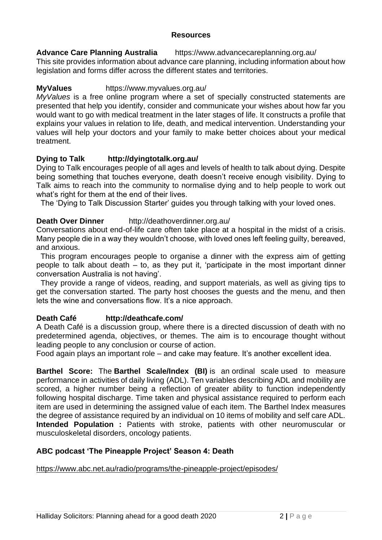## **Resources**

**Advance Care Planning Australia** https://www.advancecareplanning.org.au/ This site provides information about advance care planning, including information about how legislation and forms differ across the different states and territories.

# **MyValues** https://www.myvalues.org.au/

*MyValues* is a free online program where a set of specially constructed statements are presented that help you identify, consider and communicate your wishes about how far you would want to go with medical treatment in the later stages of life. It constructs a profile that explains your values in relation to life, death, and medical intervention. Understanding your values will help your doctors and your family to make better choices about your medical treatment.

# **Dying to Talk http://dyingtotalk.org.au/**

Dying to Talk encourages people of all ages and levels of health to talk about dying. Despite being something that touches everyone, death doesn't receive enough visibility. Dying to Talk aims to reach into the community to normalise dying and to help people to work out what's right for them at the end of their lives.

The 'Dying to Talk Discussion Starter' guides you through talking with your loved ones.

## **Death Over Dinner** http://deathoverdinner.org.au/

Conversations about end-of-life care often take place at a hospital in the midst of a crisis. Many people die in a way they wouldn't choose, with loved ones left feeling guilty, bereaved, and anxious.

 This program encourages people to organise a dinner with the express aim of getting people to talk about death – to, as they put it, 'participate in the most important dinner conversation Australia is not having'.

 They provide a range of videos, reading, and support materials, as well as giving tips to get the conversation started. The party host chooses the guests and the menu, and then lets the wine and conversations flow. It's a nice approach.

## **Death Café http://deathcafe.com/**

A Death Café is a discussion group, where there is a directed discussion of death with no predetermined agenda, objectives, or themes. The aim is to encourage thought without leading people to any conclusion or course of action.

Food again plays an important role – and cake may feature. It's another excellent idea.

**Barthel Score:** The **Barthel Scale/Index (BI)** is an ordinal scale used to measure performance in activities of daily living (ADL). Ten variables describing ADL and mobility are scored, a higher number being a reflection of greater ability to function independently following hospital discharge. Time taken and physical assistance required to perform each item are used in determining the assigned value of each item. The Barthel Index measures the degree of assistance required by an individual on 10 items of mobility and self care ADL. **Intended Population :** Patients with stroke, patients with other neuromuscular or musculoskeletal disorders, oncology patients.

## **ABC podcast 'The Pineapple Project' Season 4: Death**

<https://www.abc.net.au/radio/programs/the-pineapple-project/episodes/>